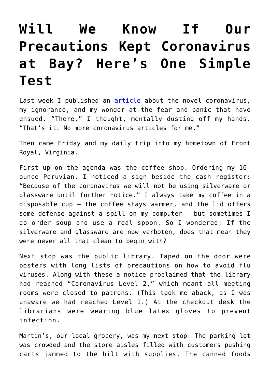## **[Will We Know If Our](https://intellectualtakeout.org/2020/03/will-we-know-if-our-precautions-kept-coronavirus-at-bay-heres-one-simple-test/) [Precautions Kept Coronavirus](https://intellectualtakeout.org/2020/03/will-we-know-if-our-precautions-kept-coronavirus-at-bay-heres-one-simple-test/) [at Bay? Here's One Simple](https://intellectualtakeout.org/2020/03/will-we-know-if-our-precautions-kept-coronavirus-at-bay-heres-one-simple-test/) [Test](https://intellectualtakeout.org/2020/03/will-we-know-if-our-precautions-kept-coronavirus-at-bay-heres-one-simple-test/)**

Last week I published an [article](https://www.intellectualtakeout.org/article/old-guy-looks-coronavirus) about the novel coronavirus, my ignorance, and my wonder at the fear and panic that have ensued. "There," I thought, mentally dusting off my hands. "That's it. No more coronavirus articles for me."

Then came Friday and my daily trip into my hometown of Front Royal, Virginia.

First up on the agenda was the coffee shop. Ordering my 16 ounce Peruvian, I noticed a sign beside the cash register: "Because of the coronavirus we will not be using silverware or glassware until further notice." I always take my coffee in a disposable cup – the coffee stays warmer, and the lid offers some defense against a spill on my computer – but sometimes I do order soup and use a real spoon. So I wondered: If the silverware and glassware are now verboten, does that mean they were never all that clean to begin with?

Next stop was the public library. Taped on the door were posters with long lists of precautions on how to avoid flu viruses. Along with these a notice proclaimed that the library had reached "Coronavirus Level 2," which meant all meeting rooms were closed to patrons. (This took me aback, as I was unaware we had reached Level 1.) At the checkout desk the librarians were wearing blue latex gloves to prevent infection.

Martin's, our local grocery, was my next stop. The parking lot was crowded and the store aisles filled with customers pushing carts jammed to the hilt with supplies. The canned foods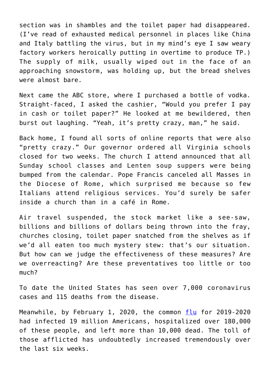section was in shambles and the toilet paper had disappeared. (I've read of exhausted medical personnel in places like China and Italy battling the virus, but in my mind's eye I saw weary factory workers heroically putting in overtime to produce TP.) The supply of milk, usually wiped out in the face of an approaching snowstorm, was holding up, but the bread shelves were almost bare.

Next came the ABC store, where I purchased a bottle of vodka. Straight-faced, I asked the cashier, "Would you prefer I pay in cash or toilet paper?" He looked at me bewildered, then burst out laughing. "Yeah, it's pretty crazy, man," he said.

Back home, I found all sorts of online reports that were also "pretty crazy." Our governor ordered all Virginia schools closed for two weeks. The church I attend announced that all Sunday school classes and Lenten soup suppers were being bumped from the calendar. Pope Francis canceled all Masses in the Diocese of Rome, which surprised me because so few Italians attend religious services. You'd surely be safer inside a church than in a café in Rome.

Air travel suspended, the stock market like a see-saw, billions and billions of dollars being thrown into the fray, churches closing, toilet paper snatched from the shelves as if we'd all eaten too much mystery stew: that's our situation. But how can we judge the effectiveness of these measures? Are we overreacting? Are these preventatives too little or too much?

To date the United States has seen over 7,000 coronavirus cases and 115 deaths from the disease.

Meanwhile, by February 1, 2020, the common [flu](https://www.contagionlive.com/news/us-flu-cases-increased-by-4-million-over-the-last-week) for 2019-2020 had infected 19 million Americans, hospitalized over 180,000 of these people, and left more than 10,000 dead. The toll of those afflicted has undoubtedly increased tremendously over the last six weeks.